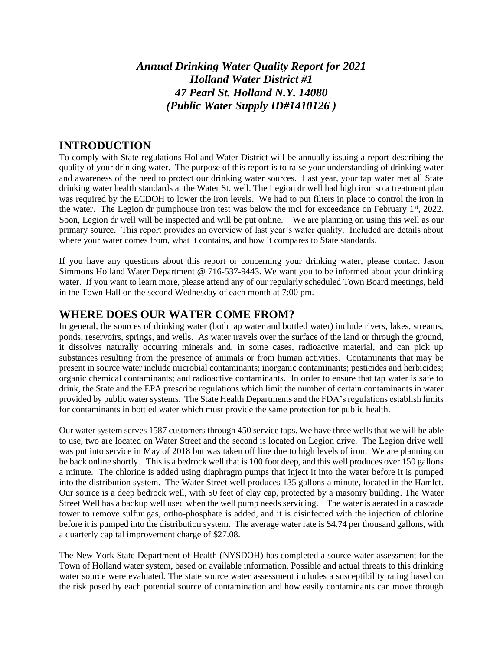*Annual Drinking Water Quality Report for 2021 Holland Water District #1 47 Pearl St. Holland N.Y. 14080 (Public Water Supply ID#1410126 )*

### **INTRODUCTION**

To comply with State regulations Holland Water District will be annually issuing a report describing the quality of your drinking water. The purpose of this report is to raise your understanding of drinking water and awareness of the need to protect our drinking water sources. Last year, your tap water met all State drinking water health standards at the Water St. well. The Legion dr well had high iron so a treatment plan was required by the ECDOH to lower the iron levels. We had to put filters in place to control the iron in the water. The Legion dr pumphouse iron test was below the mcl for exceedance on February 1st, 2022. Soon, Legion dr well will be inspected and will be put online. We are planning on using this well as our primary source. This report provides an overview of last year's water quality. Included are details about where your water comes from, what it contains, and how it compares to State standards.

If you have any questions about this report or concerning your drinking water, please contact Jason Simmons Holland Water Department @ 716-537-9443. We want you to be informed about your drinking water. If you want to learn more, please attend any of our regularly scheduled Town Board meetings, held in the Town Hall on the second Wednesday of each month at 7:00 pm.

### **WHERE DOES OUR WATER COME FROM?**

In general, the sources of drinking water (both tap water and bottled water) include rivers, lakes, streams, ponds, reservoirs, springs, and wells. As water travels over the surface of the land or through the ground, it dissolves naturally occurring minerals and, in some cases, radioactive material, and can pick up substances resulting from the presence of animals or from human activities. Contaminants that may be present in source water include microbial contaminants; inorganic contaminants; pesticides and herbicides; organic chemical contaminants; and radioactive contaminants. In order to ensure that tap water is safe to drink, the State and the EPA prescribe regulations which limit the number of certain contaminants in water provided by public water systems. The State Health Departments and the FDA's regulations establish limits for contaminants in bottled water which must provide the same protection for public health.

Our water system serves 1587 customers through 450 service taps. We have three wells that we will be able to use, two are located on Water Street and the second is located on Legion drive. The Legion drive well was put into service in May of 2018 but was taken off line due to high levels of iron. We are planning on be back online shortly. This is a bedrock well that is 100 foot deep, and this well produces over 150 gallons a minute. The chlorine is added using diaphragm pumps that inject it into the water before it is pumped into the distribution system. The Water Street well produces 135 gallons a minute, located in the Hamlet. Our source is a deep bedrock well, with 50 feet of clay cap, protected by a masonry building. The Water Street Well has a backup well used when the well pump needs servicing. The water is aerated in a cascade tower to remove sulfur gas, ortho-phosphate is added, and it is disinfected with the injection of chlorine before it is pumped into the distribution system. The average water rate is \$4.74 per thousand gallons, with a quarterly capital improvement charge of \$27.08.

The New York State Department of Health (NYSDOH) has completed a source water assessment for the Town of Holland water system, based on available information. Possible and actual threats to this drinking water source were evaluated. The state source water assessment includes a susceptibility rating based on the risk posed by each potential source of contamination and how easily contaminants can move through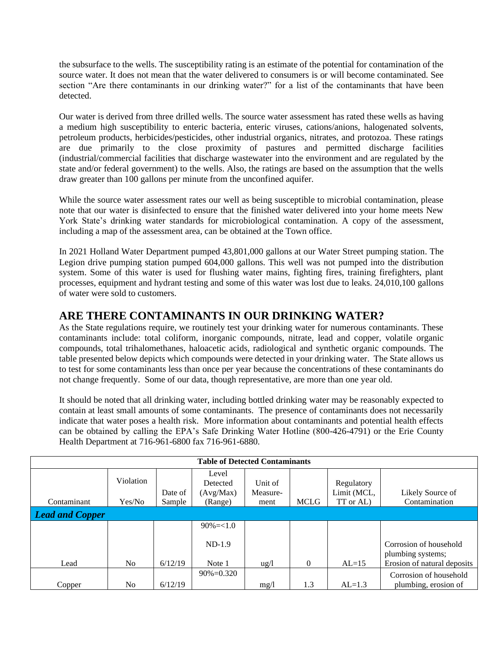the subsurface to the wells. The susceptibility rating is an estimate of the potential for contamination of the source water. It does not mean that the water delivered to consumers is or will become contaminated. See section "Are there contaminants in our drinking water?" for a list of the contaminants that have been detected.

Our water is derived from three drilled wells. The source water assessment has rated these wells as having a medium high susceptibility to enteric bacteria, enteric viruses, cations/anions, halogenated solvents, petroleum products, herbicides/pesticides, other industrial organics, nitrates, and protozoa. These ratings are due primarily to the close proximity of pastures and permitted discharge facilities (industrial/commercial facilities that discharge wastewater into the environment and are regulated by the state and/or federal government) to the wells. Also, the ratings are based on the assumption that the wells draw greater than 100 gallons per minute from the unconfined aquifer.

While the source water assessment rates our well as being susceptible to microbial contamination, please note that our water is disinfected to ensure that the finished water delivered into your home meets New York State's drinking water standards for microbiological contamination. A copy of the assessment, including a map of the assessment area, can be obtained at the Town office.

In 2021 Holland Water Department pumped 43,801,000 gallons at our Water Street pumping station. The Legion drive pumping station pumped 604,000 gallons. This well was not pumped into the distribution system. Some of this water is used for flushing water mains, fighting fires, training firefighters, plant processes, equipment and hydrant testing and some of this water was lost due to leaks. 24,010,100 gallons of water were sold to customers.

## **ARE THERE CONTAMINANTS IN OUR DRINKING WATER?**

As the State regulations require, we routinely test your drinking water for numerous contaminants. These contaminants include: total coliform, inorganic compounds, nitrate, lead and copper, volatile organic compounds, total trihalomethanes, haloacetic acids, radiological and synthetic organic compounds. The table presented below depicts which compounds were detected in your drinking water. The State allows us to test for some contaminants less than once per year because the concentrations of these contaminants do not change frequently. Some of our data, though representative, are more than one year old.

It should be noted that all drinking water, including bottled drinking water may be reasonably expected to contain at least small amounts of some contaminants. The presence of contaminants does not necessarily indicate that water poses a health risk. More information about contaminants and potential health effects can be obtained by calling the EPA's Safe Drinking Water Hotline (800-426-4791) or the Erie County Health Department at 716-961-6800 fax 716-961-6880.

| <b>Table of Detected Contaminants</b> |                |         |                |                 |             |             |                                             |  |
|---------------------------------------|----------------|---------|----------------|-----------------|-------------|-------------|---------------------------------------------|--|
|                                       |                |         | Level          |                 |             |             |                                             |  |
|                                       | Violation      |         | Detected       | Unit of         |             | Regulatory  |                                             |  |
|                                       |                | Date of | (Avg/Max)      | Measure-        |             | Limit (MCL, | Likely Source of                            |  |
| Contaminant                           | Yes/No         | Sample  | (Range)        | ment            | <b>MCLG</b> | TT or AL)   | Contamination                               |  |
| <b>Lead and Copper</b>                |                |         |                |                 |             |             |                                             |  |
|                                       |                |         | $90\% = < 1.0$ |                 |             |             |                                             |  |
|                                       |                |         | $ND-1.9$       |                 |             |             | Corrosion of household<br>plumbing systems; |  |
| Lead                                  | N <sub>0</sub> | 6/12/19 | Note 1         | $\frac{u g}{l}$ | $\Omega$    | $AL=15$     | Erosion of natural deposits                 |  |
|                                       |                |         | $90\% = 0.320$ |                 |             |             | Corrosion of household                      |  |
| Copper                                | No             | 6/12/19 |                | mg/l            | 1.3         | $AL=1.3$    | plumbing, erosion of                        |  |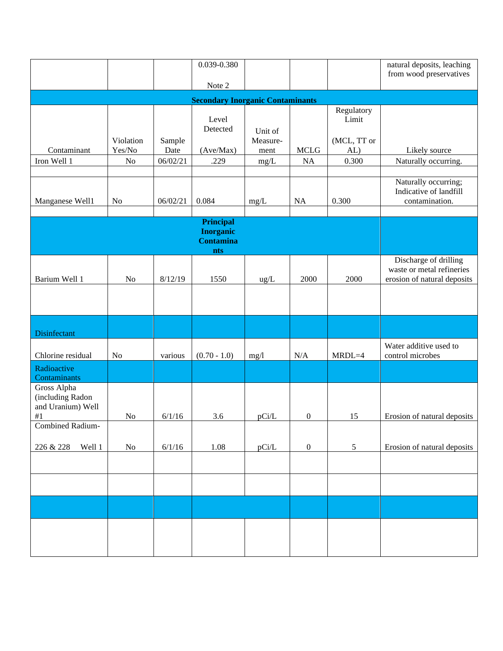|                                                      |                     |                | 0.039-0.380                                        |                     |                  |                     | natural deposits, leaching                                       |  |  |
|------------------------------------------------------|---------------------|----------------|----------------------------------------------------|---------------------|------------------|---------------------|------------------------------------------------------------------|--|--|
|                                                      |                     |                | Note 2                                             |                     |                  |                     | from wood preservatives                                          |  |  |
| <b>Secondary Inorganic Contaminants</b>              |                     |                |                                                    |                     |                  |                     |                                                                  |  |  |
|                                                      |                     |                | Level                                              |                     |                  | Regulatory<br>Limit |                                                                  |  |  |
| Contaminant                                          | Violation<br>Yes/No | Sample<br>Date | Detected                                           | Unit of<br>Measure- | <b>MCLG</b>      | (MCL, TT or         |                                                                  |  |  |
| Iron Well 1                                          | $\rm No$            | 06/02/21       | (Ave/Max)<br>.229                                  | ment<br>mg/L        | $\rm NA$         | AL)<br>0.300        | Likely source<br>Naturally occurring.                            |  |  |
|                                                      |                     |                |                                                    |                     |                  |                     |                                                                  |  |  |
| Manganese Well1                                      | N <sub>o</sub>      | 06/02/21       | 0.084                                              | mg/L                | NA               | 0.300               | Naturally occurring;<br>Indicative of landfill<br>contamination. |  |  |
|                                                      |                     |                | <b>Principal</b>                                   |                     |                  |                     |                                                                  |  |  |
|                                                      |                     |                | <b>Inorganic</b><br><b>Contamina</b><br><b>nts</b> |                     |                  |                     |                                                                  |  |  |
|                                                      |                     |                |                                                    |                     |                  |                     | Discharge of drilling<br>waste or metal refineries               |  |  |
| Barium Well 1                                        | No                  | 8/12/19        | 1550                                               | ug/L                | 2000             | 2000                | erosion of natural deposits                                      |  |  |
|                                                      |                     |                |                                                    |                     |                  |                     |                                                                  |  |  |
| Disinfectant                                         |                     |                |                                                    |                     |                  |                     |                                                                  |  |  |
| Chlorine residual                                    | No                  | various        | $(0.70 - 1.0)$                                     | mg/l                | N/A              | $MRDL=4$            | Water additive used to<br>control microbes                       |  |  |
| Radioactive<br>Contaminants                          |                     |                |                                                    |                     |                  |                     |                                                                  |  |  |
| Gross Alpha<br>(including Radon<br>and Uranium) Well |                     |                |                                                    |                     |                  |                     |                                                                  |  |  |
| $\#1$                                                | $\rm No$            | 6/1/16         | 3.6                                                | pCi/L               | $\boldsymbol{0}$ | 15                  | Erosion of natural deposits                                      |  |  |
| <b>Combined Radium-</b>                              |                     |                |                                                    |                     |                  |                     |                                                                  |  |  |
| 226 & 228<br>Well 1                                  | $\rm No$            | 6/1/16         | 1.08                                               | pCi/L               | $\boldsymbol{0}$ | $\mathfrak{S}$      | Erosion of natural deposits                                      |  |  |
|                                                      |                     |                |                                                    |                     |                  |                     |                                                                  |  |  |
|                                                      |                     |                |                                                    |                     |                  |                     |                                                                  |  |  |
|                                                      |                     |                |                                                    |                     |                  |                     |                                                                  |  |  |
|                                                      |                     |                |                                                    |                     |                  |                     |                                                                  |  |  |
|                                                      |                     |                |                                                    |                     |                  |                     |                                                                  |  |  |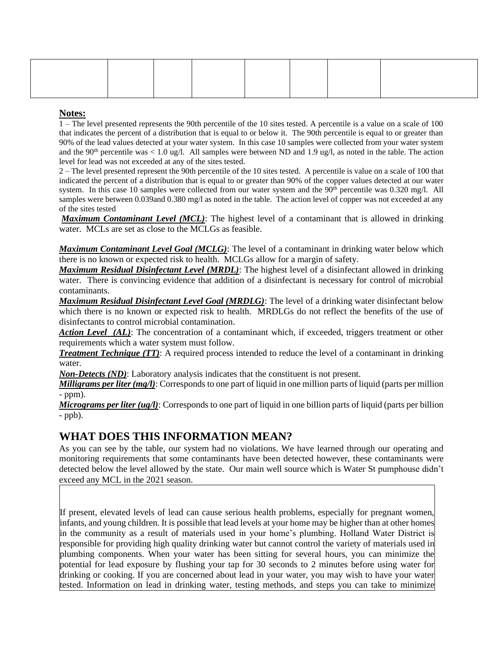#### **Notes:**

1 – The level presented represents the 90th percentile of the 10 sites tested. A percentile is a value on a scale of 100 that indicates the percent of a distribution that is equal to or below it. The 90th percentile is equal to or greater than 90% of the lead values detected at your water system. In this case 10 samples were collected from your water system and the 90<sup>th</sup> percentile was  $\lt 1.0$  ug/l. All samples were between ND and 1.9 ug/l, as noted in the table. The action level for lead was not exceeded at any of the sites tested.

2 – The level presented represent the 90th percentile of the 10 sites tested. A percentile is value on a scale of 100 that indicated the percent of a distribution that is equal to or greater than 90% of the copper values detected at our water system. In this case 10 samples were collected from our water system and the  $90<sup>th</sup>$  percentile was 0.320 mg/l. All samples were between 0.039and 0.380 mg/l as noted in the table. The action level of copper was not exceeded at any of the sites tested

*Maximum Contaminant Level (MCL)*: The highest level of a contaminant that is allowed in drinking water. MCLs are set as close to the MCLGs as feasible.

*Maximum Contaminant Level Goal (MCLG)*: The level of a contaminant in drinking water below which there is no known or expected risk to health. MCLGs allow for a margin of safety.

*Maximum Residual Disinfectant Level (MRDL)*: The highest level of a disinfectant allowed in drinking water. There is convincing evidence that addition of a disinfectant is necessary for control of microbial contaminants.

*Maximum Residual Disinfectant Level Goal (MRDLG)*: The level of a drinking water disinfectant below which there is no known or expected risk to health. MRDLGs do not reflect the benefits of the use of disinfectants to control microbial contamination.

Action Level (AL): The concentration of a contaminant which, if exceeded, triggers treatment or other requirements which a water system must follow.

*Treatment Technique (TT)*: A required process intended to reduce the level of a contaminant in drinking water.

*Non-Detects (ND)*: Laboratory analysis indicates that the constituent is not present.

*Milligrams per liter (mg/l)*: Corresponds to one part of liquid in one million parts of liquid (parts per million - ppm).

*Micrograms per liter (ug/l)*: Corresponds to one part of liquid in one billion parts of liquid (parts per billion  $-ppb$ ).

### **WHAT DOES THIS INFORMATION MEAN?**

As you can see by the table, our system had no violations. We have learned through our operating and monitoring requirements that some contaminants have been detected however, these contaminants were detected below the level allowed by the state. Our main well source which is Water St pumphouse didn't exceed any MCL in the 2021 season.

If present, elevated levels of lead can cause serious health problems, especially for pregnant women, infants, and young children. It is possible that lead levels at your home may be higher than at other homes in the community as a result of materials used in your home's plumbing. Holland Water District is responsible for providing high quality drinking water but cannot control the variety of materials used in plumbing components. When your water has been sitting for several hours, you can minimize the potential for lead exposure by flushing your tap for 30 seconds to 2 minutes before using water for drinking or cooking. If you are concerned about lead in your water, you may wish to have your water tested. Information on lead in drinking water, testing methods, and steps you can take to minimize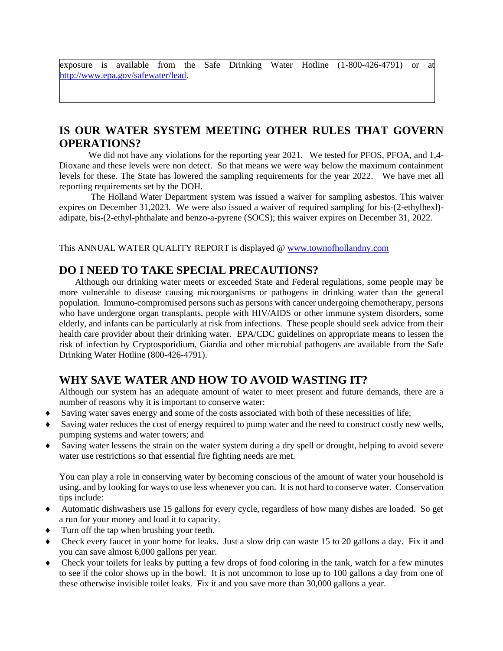exposure is available from the Safe Drinking Water Hotline (1-800-426-4791) or at [http://www.epa.gov/safewater/lead.](http://www.epa.gov/safewater/lead)

# **IS OUR WATER SYSTEM MEETING OTHER RULES THAT GOVERN OPERATIONS?**

We did not have any violations for the reporting year 2021. We tested for PFOS, PFOA, and 1,4-Dioxane and these levels were non detect. So that means we were way below the maximum containment levels for these. The State has lowered the sampling requirements for the year 2022. We have met all reporting requirements set by the DOH.

The Holland Water Department system was issued a waiver for sampling asbestos. This waiver expires on December 31,2023. We were also issued a waiver of required sampling for bis-(2-ethylhexl) adipate, bis-(2-ethyl-phthalate and benzo-a-pyrene (SOCS); this waiver expires on December 31, 2022.

This ANNUAL WATER QUALITY REPORT is displayed @ [www.townofhollandny.com](http://www.townofhollandny.com/)

## **DO I NEED TO TAKE SPECIAL PRECAUTIONS?**

 Although our drinking water meets or exceeded State and Federal regulations, some people may be more vulnerable to disease causing microorganisms or pathogens in drinking water than the general population. Immuno-compromised persons such as persons with cancer undergoing chemotherapy, persons who have undergone organ transplants, people with HIV/AIDS or other immune system disorders, some elderly, and infants can be particularly at risk from infections. These people should seek advice from their health care provider about their drinking water. EPA/CDC guidelines on appropriate means to lessen the risk of infection by Cryptosporidium, Giardia and other microbial pathogens are available from the Safe Drinking Water Hotline (800-426-4791).

## **WHY SAVE WATER AND HOW TO AVOID WASTING IT?**

Although our system has an adequate amount of water to meet present and future demands, there are a number of reasons why it is important to conserve water:

- Saving water saves energy and some of the costs associated with both of these necessities of life;
- Saving water reduces the cost of energy required to pump water and the need to construct costly new wells, pumping systems and water towers; and
- Saving water lessens the strain on the water system during a dry spell or drought, helping to avoid severe water use restrictions so that essential fire fighting needs are met.

You can play a role in conserving water by becoming conscious of the amount of water your household is using, and by looking for ways to use less whenever you can. It is not hard to conserve water. Conservation tips include:

- Automatic dishwashers use 15 gallons for every cycle, regardless of how many dishes are loaded. So get a run for your money and load it to capacity.
- $\bullet$  Turn off the tap when brushing your teeth.
- Check every faucet in your home for leaks. Just a slow drip can waste 15 to 20 gallons a day. Fix it and you can save almost 6,000 gallons per year.
- Check your toilets for leaks by putting a few drops of food coloring in the tank, watch for a few minutes to see if the color shows up in the bowl. It is not uncommon to lose up to 100 gallons a day from one of these otherwise invisible toilet leaks. Fix it and you save more than 30,000 gallons a year.